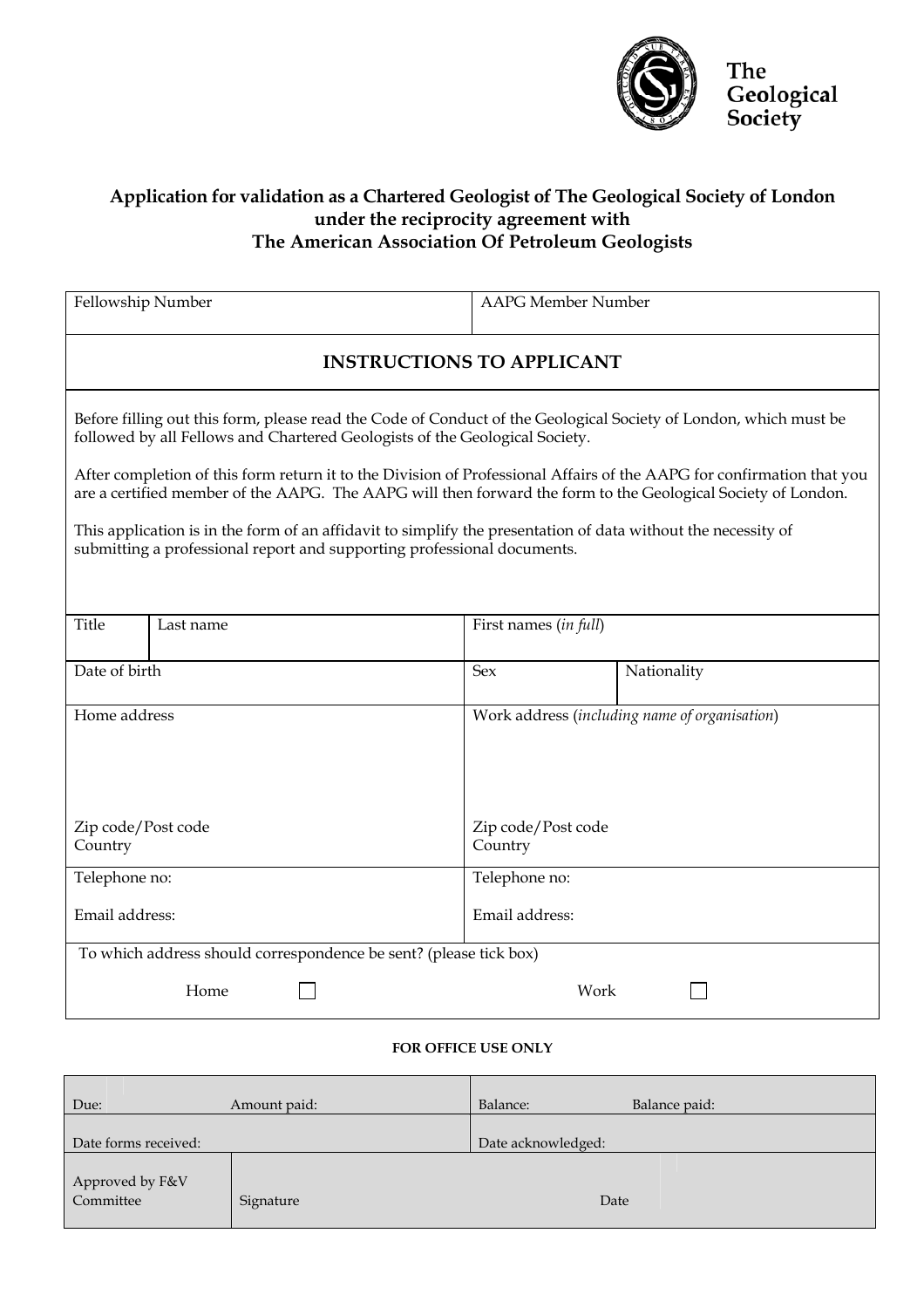

## **Application for validation as a Chartered Geologist of The Geological Society of London under the reciprocity agreement with The American Association Of Petroleum Geologists**

| Fellowship Number                                                                                                                                                                        |                                                                                                                                                                                                                                                                                                                                                                                                                                          | <b>AAPG</b> Member Number                     |             |  |  |  |
|------------------------------------------------------------------------------------------------------------------------------------------------------------------------------------------|------------------------------------------------------------------------------------------------------------------------------------------------------------------------------------------------------------------------------------------------------------------------------------------------------------------------------------------------------------------------------------------------------------------------------------------|-----------------------------------------------|-------------|--|--|--|
| <b>INSTRUCTIONS TO APPLICANT</b>                                                                                                                                                         |                                                                                                                                                                                                                                                                                                                                                                                                                                          |                                               |             |  |  |  |
|                                                                                                                                                                                          | Before filling out this form, please read the Code of Conduct of the Geological Society of London, which must be<br>followed by all Fellows and Chartered Geologists of the Geological Society.<br>After completion of this form return it to the Division of Professional Affairs of the AAPG for confirmation that you<br>are a certified member of the AAPG. The AAPG will then forward the form to the Geological Society of London. |                                               |             |  |  |  |
| This application is in the form of an affidavit to simplify the presentation of data without the necessity of<br>submitting a professional report and supporting professional documents. |                                                                                                                                                                                                                                                                                                                                                                                                                                          |                                               |             |  |  |  |
| <b>Title</b>                                                                                                                                                                             | Last name                                                                                                                                                                                                                                                                                                                                                                                                                                | First names (in full)                         |             |  |  |  |
| Date of birth                                                                                                                                                                            |                                                                                                                                                                                                                                                                                                                                                                                                                                          | <b>Sex</b>                                    | Nationality |  |  |  |
| Home address                                                                                                                                                                             |                                                                                                                                                                                                                                                                                                                                                                                                                                          | Work address (including name of organisation) |             |  |  |  |
| Zip code/Post code<br>Country                                                                                                                                                            |                                                                                                                                                                                                                                                                                                                                                                                                                                          | Zip code/Post code<br>Country                 |             |  |  |  |
| Telephone no:                                                                                                                                                                            |                                                                                                                                                                                                                                                                                                                                                                                                                                          | Telephone no:                                 |             |  |  |  |
| Email address:                                                                                                                                                                           |                                                                                                                                                                                                                                                                                                                                                                                                                                          | Email address:                                |             |  |  |  |
| To which address should correspondence be sent? (please tick box)                                                                                                                        |                                                                                                                                                                                                                                                                                                                                                                                                                                          |                                               |             |  |  |  |
| Home<br>Work                                                                                                                                                                             |                                                                                                                                                                                                                                                                                                                                                                                                                                          |                                               |             |  |  |  |

## **FOR OFFICE USE ONLY**

| Due:                         | Amount paid: | Balance:           | Balance paid: |
|------------------------------|--------------|--------------------|---------------|
| Date forms received:         |              | Date acknowledged: |               |
| Approved by F&V<br>Committee | Signature    | Date               |               |